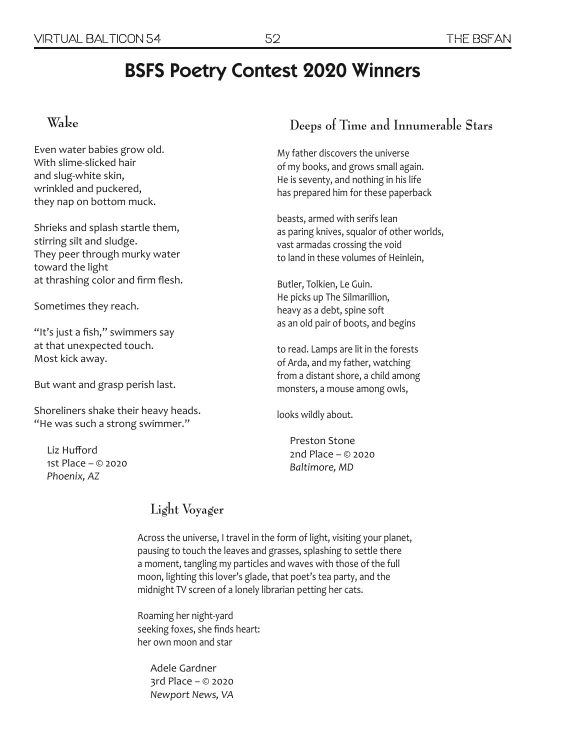# BSFS Poetry Contest 2020 Winners

#### $W_{a}$ <sub>ke</sub>

Even water babies grow old. With slime-slicked hair and slug-white skin, wrinkled and puckered, they nap on bottom muck.

Shrieks and splash startle them, stirring silt and sludge. They peer through murky water toward the light at thrashing color and firm flesh.

Sometimes they reach.

"It's just a fish," swimmers say at that unexpected touch. Most kick away.

But want and grasp perish last.

Shoreliners shake their heavy heads. "He was such a strong swimmer."

Liz Hufford 1st Place – © 2020 *Phoenix, AZ* 

#### **Deeps of Time and Innumerable Stars**

My father discovers the universe of my books, and grows small again. He is seventy, and nothing in his life has prepared him for these paperback

beasts, armed with serifs lean as paring knives, squalor of other worlds, vast armadas crossing the void to land in these volumes of Heinlein,

Butler, Tolkien, Le Guin. He picks up The Silmarillion, heavy as a debt, spine soft as an old pair of boots, and begins

to read. Lamps are lit in the forests of Arda, and my father, watching from a distant shore, a child among monsters, a mouse among owls,

looks wildly about.

Preston Stone 2nd Place – © 2020 *Baltimore, MD*

### **Light Voyager**

Across the universe, I travel in the form of light, visiting your planet, pausing to touch the leaves and grasses, splashing to settle there a moment, tangling my particles and waves with those of the full moon, lighting this lover's glade, that poet's tea party, and the midnight TV screen of a lonely librarian petting her cats.

Roaming her night-yard seeking foxes, she finds heart: her own moon and star

Adele Gardner 3rd Place – © 2020 *Newport News, VA*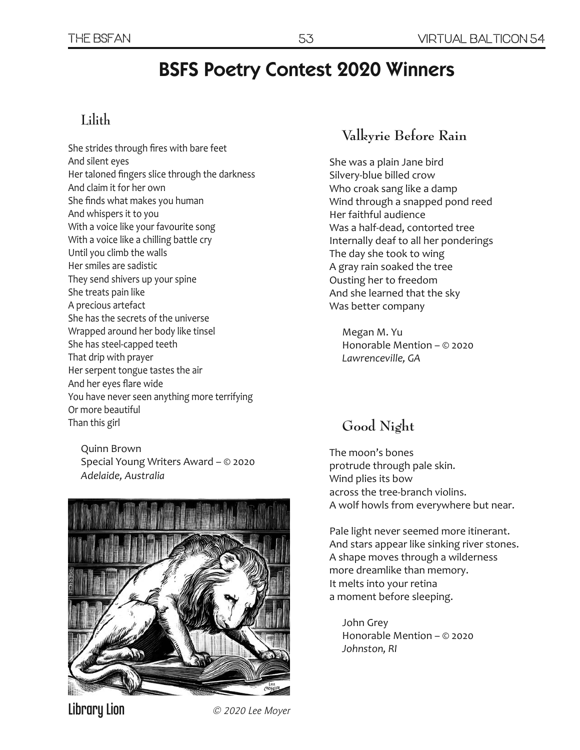# BSFS Poetry Contest 2020 Winners

## **Lilith**

She strides through fires with bare feet And silent eyes Her taloned fingers slice through the darkness And claim it for her own She finds what makes you human And whispers it to you With a voice like your favourite song With a voice like a chilling battle cry Until you climb the walls Her smiles are sadistic They send shivers up your spine She treats pain like A precious artefact She has the secrets of the universe Wrapped around her body like tinsel She has steel-capped teeth That drip with prayer Her serpent tongue tastes the air And her eyes flare wide You have never seen anything more terrifying Or more beautiful Than this girl

Quinn Brown Special Young Writers Award – © 2020 *Adelaide, Australia* 



### **Valkyrie Before Rain**

She was a plain Jane bird Silvery-blue billed crow Who croak sang like a damp Wind through a snapped pond reed Her faithful audience Was a half-dead, contorted tree Internally deaf to all her ponderings The day she took to wing A gray rain soaked the tree Ousting her to freedom And she learned that the sky Was better company

Megan M. Yu Honorable Mention – © 2020 *Lawrenceville, GA* 

## **Good Night**

The moon's bones protrude through pale skin. Wind plies its bow across the tree-branch violins. A wolf howls from everywhere but near.

Pale light never seemed more itinerant. And stars appear like sinking river stones. A shape moves through a wilderness more dreamlike than memory. It melts into your retina a moment before sleeping.

John Grey Honorable Mention – © 2020 *Johnston, RI* 

Library Lion  $\oslash$  2020 Lee Moyer